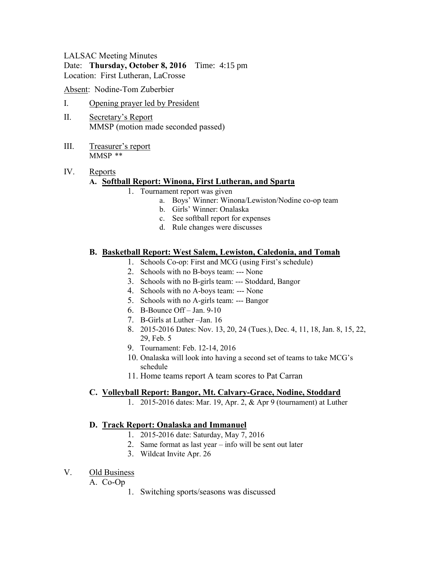# LALSAC Meeting Minutes

Date: **Thursday, October 8, 2016** Time: 4:15 pm Location: First Lutheran, LaCrosse

Absent: Nodine-Tom Zuberbier

- I. Opening prayer led by President
- II. Secretary's Report MMSP (motion made seconded passed)
- III. Treasurer's report MMSP \*\*

## IV. Reports

## **A. Softball Report: Winona, First Lutheran, and Sparta**

- 1. Tournament report was given
	- a. Boys' Winner: Winona/Lewiston/Nodine co-op team
	- b. Girls' Winner: Onalaska
	- c. See softball report for expenses
	- d. Rule changes were discusses

#### **B. Basketball Report: West Salem, Lewiston, Caledonia, and Tomah**

- 1. Schools Co-op: First and MCG (using First's schedule)
- 2. Schools with no B-boys team: --- None
- 3. Schools with no B-girls team: --- Stoddard, Bangor
- 4. Schools with no A-boys team: --- None
- 5. Schools with no A-girls team: --- Bangor
- 6. B-Bounce Off Jan. 9-10
- 7. B-Girls at Luther –Jan. 16
- 8. 2015-2016 Dates: Nov. 13, 20, 24 (Tues.), Dec. 4, 11, 18, Jan. 8, 15, 22, 29, Feb. 5
- 9. Tournament: Feb. 12-14, 2016
- 10. Onalaska will look into having a second set of teams to take MCG's schedule
- 11. Home teams report A team scores to Pat Carran

#### **C. Volleyball Report: Bangor, Mt. Calvary-Grace, Nodine, Stoddard**

1. 2015-2016 dates: Mar. 19, Apr. 2, & Apr 9 (tournament) at Luther

#### **D. Track Report: Onalaska and Immanuel**

- 1. 2015-2016 date: Saturday, May 7, 2016
- 2. Same format as last year info will be sent out later
- 3. Wildcat Invite Apr. 26

#### V. Old Business

A. Co-Op

1. Switching sports/seasons was discussed